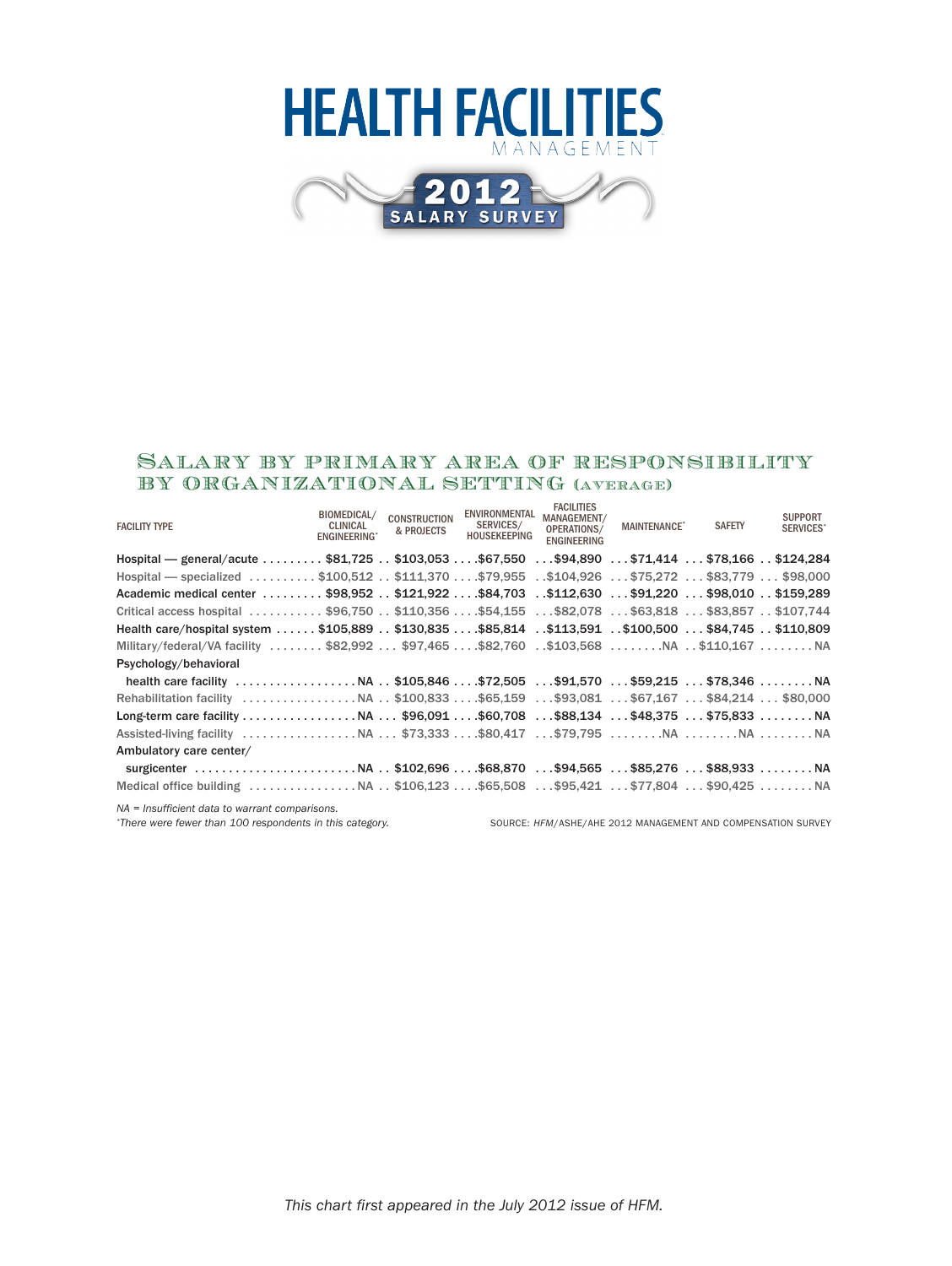



## Salary by primary area of responsibility by organizational setting (average)

| <b>FACILITY TYPE</b>                                                                            | BIOMEDICAL/<br>CLINICAL<br>ENGINEERING* | <b>CONSTRUCTION</b><br>& PROJECTS | <b>ENVIRONMENTAL</b><br>SERVICES/<br>HOUSEKEEPING | <b>FACILITIES</b><br>MANAGEMENT/<br>OPERATIONS/<br><b>ENGINEERING</b> | <b>MAINTENANCE*</b> | <b>SAFETY</b> | <b>SUPPORT</b><br><b>SERVICES*</b> |
|-------------------------------------------------------------------------------------------------|-----------------------------------------|-----------------------------------|---------------------------------------------------|-----------------------------------------------------------------------|---------------------|---------------|------------------------------------|
| Hospital — general/acute \$81,725 \$103,053 \$67,550 \$94,890 \$71,414 \$78,166 \$124,284       |                                         |                                   |                                                   |                                                                       |                     |               |                                    |
| Hospital — specialized \$100,512 \$111,370 \$79,955 \$104,926 \$75,272 \$83,779 \$98,000        |                                         |                                   |                                                   |                                                                       |                     |               |                                    |
| 4cademic medical center  \$98,952  \$121,922  \$84,703 \$112,630  \$91,220  \$98,010  \$159,289 |                                         |                                   |                                                   |                                                                       |                     |               |                                    |
| Critical access hospital  \$96,750 \$110,356 \$54,155 \$82,078 \$63,818 \$83,857 \$107,744      |                                         |                                   |                                                   |                                                                       |                     |               |                                    |
| 608.0119. . \$84,745  \$40,809  \$105,889  \$130,835  .\$85,814     \$100,500  \$84,745         |                                         |                                   |                                                   |                                                                       |                     |               |                                    |
| Military/federal/VA facility  \$82,992  \$97,465 \$82,760 \$103,568 NA \$110,167 NA             |                                         |                                   |                                                   |                                                                       |                     |               |                                    |
| Psychology/behavioral                                                                           |                                         |                                   |                                                   |                                                                       |                     |               |                                    |
| health care facility NA \$105,846 \$72,505 \$91,570 \$59,215 \$78,346 NA                        |                                         |                                   |                                                   |                                                                       |                     |               |                                    |
| Rehabilitation facility NA  \$100,833 \$65,159 \$93,081 \$67,167 \$84,214 \$80,000              |                                         |                                   |                                                   |                                                                       |                     |               |                                    |
|                                                                                                 |                                         |                                   |                                                   |                                                                       |                     |               |                                    |
| Assisted-living facility NA  \$73,333 \$80,417 \$79,795 NA NA NA                                |                                         |                                   |                                                   |                                                                       |                     |               |                                    |
| Ambulatory care center/                                                                         |                                         |                                   |                                                   |                                                                       |                     |               |                                    |
| surgicenter NA  \$102,696 \$68,870 \$94,565 \$85,276 \$88,933 NA                                |                                         |                                   |                                                   |                                                                       |                     |               |                                    |
| Medical office building NA  \$106,123 \$65,508 \$95,421 \$77,804 \$90,425 NA                    |                                         |                                   |                                                   |                                                                       |                     |               |                                    |
|                                                                                                 |                                         |                                   |                                                   |                                                                       |                     |               |                                    |

*NA = Insufficient data to warrant comparisons.* 

*\* There were fewer than 100 respondents in this category.*

SOURCE: *HFM*/ASHE/AHE 2012 MANAGEMENT AND COMPENSATION SURVEY